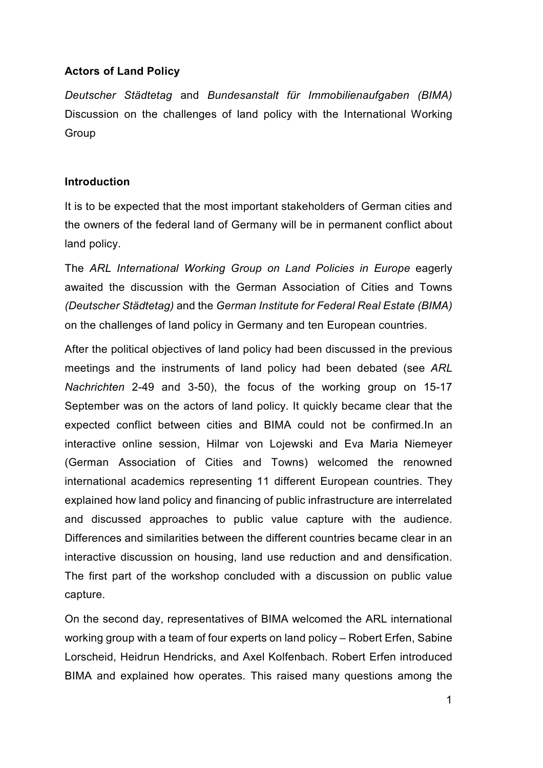## **Actors of Land Policy**

*Deutscher Städtetag* and *Bundesanstalt für Immobilienaufgaben (BIMA)* Discussion on the challenges of land policy with the International Working Group

## **Introduction**

It is to be expected that the most important stakeholders of German cities and the owners of the federal land of Germany will be in permanent conflict about land policy.

The *ARL International Working Group on Land Policies in Europe* eagerly awaited the discussion with the German Association of Cities and Towns *(Deutscher Städtetag)* and the *German Institute for Federal Real Estate (BIMA)* on the challenges of land policy in Germany and ten European countries.

After the political objectives of land policy had been discussed in the previous meetings and the instruments of land policy had been debated (see *ARL Nachrichten* 2-49 and 3-50), the focus of the working group on 15-17 September was on the actors of land policy. It quickly became clear that the expected conflict between cities and BIMA could not be confirmed.In an interactive online session, Hilmar von Lojewski and Eva Maria Niemeyer (German Association of Cities and Towns) welcomed the renowned international academics representing 11 different European countries. They explained how land policy and financing of public infrastructure are interrelated and discussed approaches to public value capture with the audience. Differences and similarities between the different countries became clear in an interactive discussion on housing, land use reduction and and densification. The first part of the workshop concluded with a discussion on public value capture.

On the second day, representatives of BIMA welcomed the ARL international working group with a team of four experts on land policy – Robert Erfen, Sabine Lorscheid, Heidrun Hendricks, and Axel Kolfenbach. Robert Erfen introduced BIMA and explained how operates. This raised many questions among the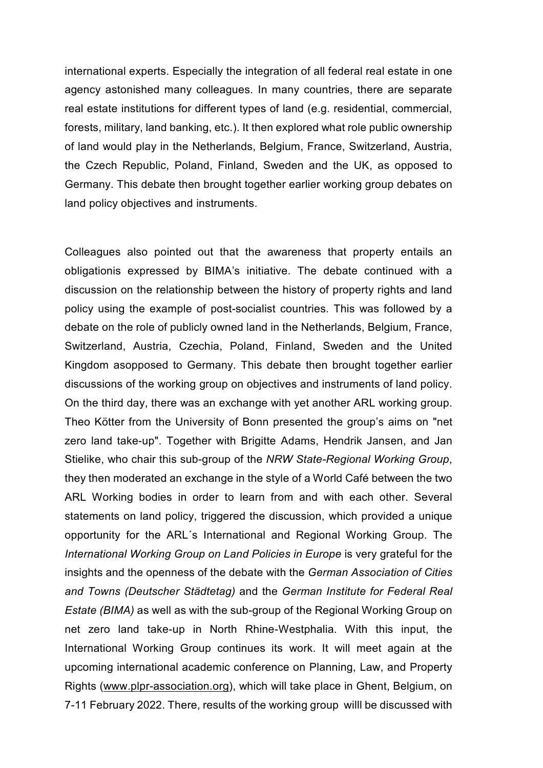international experts. Especially the integration of all federal real estate in one agency astonished many colleagues. In many countries, there are separate real estate institutions for different types of land (e.g. residential, commercial, forests, military, land banking, etc.). It then explored what role public ownership of land would play in the Netherlands, Belgium, France, Switzerland, Austria, the Czech Republic, Poland, Finland, Sweden and the UK, as opposed to Germany. This debate then brought together earlier working group debates on land policy objectives and instruments.

Colleagues also pointed out that the awareness that property entails an obligationis expressed by BIMA's initiative. The debate continued with a discussion on the relationship between the history of property rights and land policy using the example of post-socialist countries. This was followed by a debate on the role of publicly owned land in the Netherlands, Belgium, France, Switzerland, Austria, Czechia, Poland, Finland, Sweden and the United Kingdom asopposed to Germany. This debate then brought together earlier discussions of the working group on objectives and instruments of land policy. On the third day, there was an exchange with yet another ARL working group. Theo Kötter from the University of Bonn presented the group's aims on "net zero land take-up". Together with Brigitte Adams, Hendrik Jansen, and Jan Stielike, who chair this sub-group of the *NRW State-Regional Working Group*, they then moderated an exchange in the style of a World Café between the two ARL Working bodies in order to learn from and with each other. Several statements on land policy, triggered the discussion, which provided a unique opportunity for the ARL´s International and Regional Working Group. The *International Working Group on Land Policies in Europe* is very grateful for the insights and the openness of the debate with the *German Association of Cities and Towns (Deutscher Städtetag)* and the *German Institute for Federal Real Estate (BIMA)* as well as with the sub-group of the Regional Working Group on net zero land take-up in North Rhine-Westphalia. With this input, the International Working Group continues its work. It will meet again at the upcoming international academic conference on Planning, Law, and Property Rights [\(www.plpr-association.org\)](http://www.plpr-association.org/), which will take place in Ghent, Belgium, on 7-11 February 2022. There, results of the working group willl be discussed with